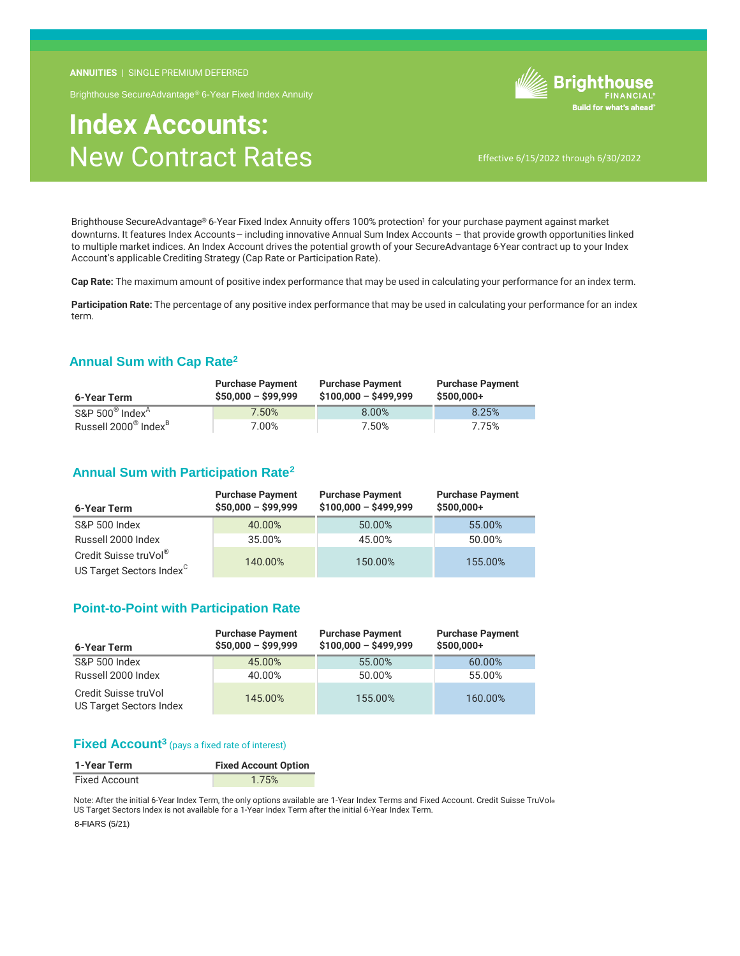**ANNUITIES** | SINGLE PREMIUM DEFERRED

Brighthouse SecureAdvantage® 6-Year Fixed Index Annuity

# **Index Accounts:** New Contract Rates



Effective 6/15/2022 through 6/30/2022

Brighthouse SecureAdvantage® 6-Year Fixed Index Annuity offers 100% protection<sup>1</sup> for your purchase payment against market downturns. It features Index Accounts – including innovative Annual Sum Index Accounts – that provide growth opportunities linked to multiple market indices. An Index Account drives the potential growth of your SecureAdvantage 6-Year contract up to your Index Account's applicable Crediting Strategy (Cap Rate or Participation Rate).

**Cap Rate:** The maximum amount of positive index performance that may be used in calculating your performance for an index term.

**Participation Rate:** The percentage of any positive index performance that may be used in calculating your performance for an index term.

### **Annual Sum with Cap Rate<sup>2</sup>**

| 6-Year Term                                  | <b>Purchase Payment</b><br>$$50,000 - $99,999$ | <b>Purchase Payment</b><br>$$100,000 - $499,999$ | <b>Purchase Payment</b><br>$$500.000+$ |
|----------------------------------------------|------------------------------------------------|--------------------------------------------------|----------------------------------------|
| $S\&P 500^\circ$ Index <sup>A</sup>          | 7.50%                                          | 8.00%                                            | 8.25%                                  |
| Russell 2000 <sup>®</sup> Index <sup>B</sup> | 7.00%                                          | 7.50%                                            | 7.75%                                  |

## **Annual Sum with Participation Rate<sup>2</sup>**

| 6-Year Term                                                   | <b>Purchase Payment</b><br>$$50,000 - $99,999$ | <b>Purchase Payment</b><br>$$100,000 - $499,999$ | <b>Purchase Payment</b><br>$$500,000+$ |
|---------------------------------------------------------------|------------------------------------------------|--------------------------------------------------|----------------------------------------|
| S&P 500 Index                                                 | 40.00%                                         | 50.00%                                           | 55.00%                                 |
| Russell 2000 Index                                            | 35.00%                                         | 45.00%                                           | 50.00%                                 |
| Credit Suisse truVol®<br>US Target Sectors Index <sup>C</sup> | 140.00%                                        | 150.00%                                          | 155.00%                                |

### **Point-to-Point with Participation Rate**

| 6-Year Term                                     | <b>Purchase Payment</b><br>$$50,000 - $99,999$ | <b>Purchase Payment</b><br>$$100,000 - $499,999$ | <b>Purchase Payment</b><br>$$500,000+$ |
|-------------------------------------------------|------------------------------------------------|--------------------------------------------------|----------------------------------------|
| S&P 500 Index                                   | 45.00%                                         | 55.00%                                           | 60.00%                                 |
| Russell 2000 Index                              | 40.00%                                         | 50.00%                                           | 55.00%                                 |
| Credit Suisse truVol<br>US Target Sectors Index | 145.00%                                        | 155.00%                                          | 160.00%                                |

### **Fixed Account<sup>3</sup>** (pays a fixed rate of interest)

| 1-Year Term          | <b>Fixed Account Option</b> |
|----------------------|-----------------------------|
| <b>Fixed Account</b> | 1.75%                       |

Note: After the initial 6-Year Index Term, the only options available are 1-Year Index Terms and Fixed Account. Credit Suisse TruVol® US Target Sectors Index is not available for a 1-Year Index Term after the initial 6-Year Index Term.

8-FIARS (5/21)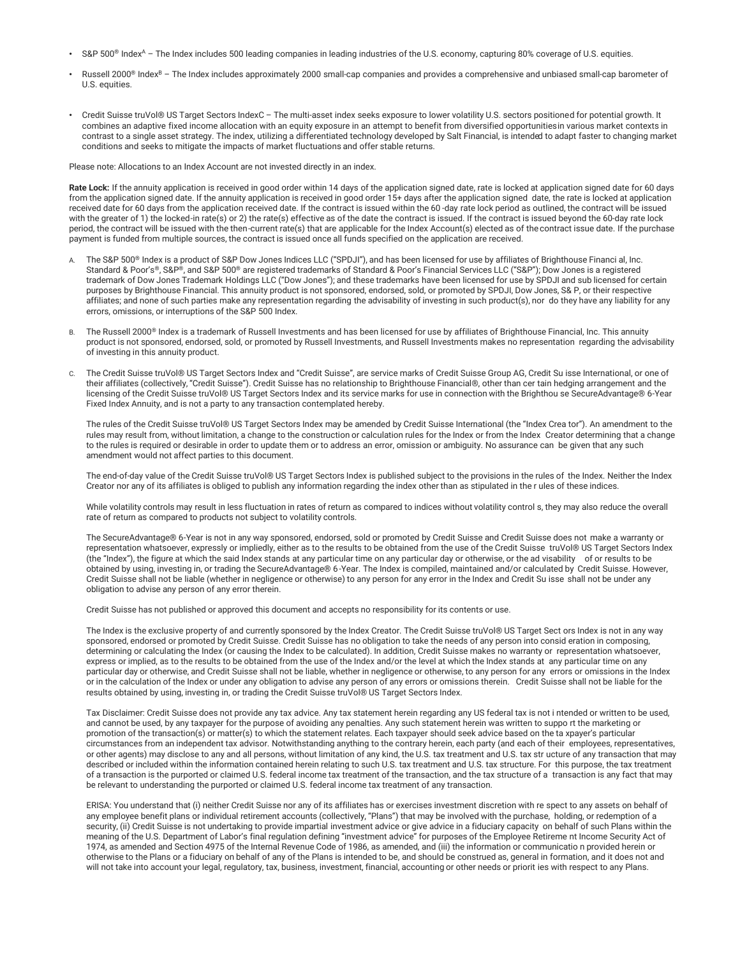- S&P 500<sup>®</sup> Index<sup>A</sup> The Index includes 500 leading companies in leading industries of the U.S. economy, capturing 80% coverage of U.S. equities.
- Russell 2000<sup>®</sup> Index<sup>B</sup> The Index includes approximately 2000 small-cap companies and provides a comprehensive and unbiased small-cap barometer of U.S. equities.
- Credit Suisse truVol® US Target Sectors IndexC The multi-asset index seeks exposure to lower volatility U.S. sectors positioned for potential growth. It combines an adaptive fixed income allocation with an equity exposure in an attempt to benefit from diversified opportunities in various market contexts in contrast to a single asset strategy. The index, utilizing a differentiated technology developed by Salt Financial, is intended to adapt faster to changing market conditions and seeks to mitigate the impacts of market fluctuations and offer stable returns.

Please note: Allocations to an Index Account are not invested directly in an index.

Rate Lock: If the annuity application is received in good order within 14 days of the application signed date, rate is locked at application signed date for 60 days from the application signed date. If the annuity application is received in good order 15+ days after the application signed date, the rate is locked at application received date for 60 days from the application received date. If the contract is issued within the 60 -day rate lock period as outlined, the contract will be issued with the greater of 1) the locked-in rate(s) or 2) the rate(s) effective as of the date the contract is issued. If the contract is issued beyond the 60-day rate lock period, the contract will be issued with the then-current rate(s) that are applicable for the Index Account(s) elected as of the contract issue date. If the purchase payment is funded from multiple sources, the contract is issued once all funds specified on the application are received.

- A. The S&P 500® Index is a product of S&P Dow Jones Indices LLC ("SPDJI"), and has been licensed for use by affiliates of Brighthouse Financi al, Inc. Standard & Poor's®, S&P®, and S&P 500® are registered trademarks of Standard & Poor's Financial Services LLC ("S&P"); Dow Jones is a registered trademark of Dow Jones Trademark Holdings LLC ("Dow Jones"); and these trademarks have been licensed for use by SPDJI and sub licensed for certain purposes by Brighthouse Financial. This annuity product is not sponsored, endorsed, sold, or promoted by SPDJI, Dow Jones, S& P, or their respective affiliates; and none of such parties make any representation regarding the advisability of investing in such product(s), nor do they have any liability for any errors, omissions, or interruptions of the S&P 500 Index.
- B. The Russell 2000<sup>®</sup> Index is a trademark of Russell Investments and has been licensed for use by affiliates of Brighthouse Financial, Inc. This annuity product is not sponsored, endorsed, sold, or promoted by Russell Investments, and Russell Investments makes no representation regarding the advisability of investing in this annuity product.
- C. The Credit Suisse truVol® US Target Sectors Index and "Credit Suisse", are service marks of Credit Suisse Group AG, Credit Su isse International, or one of their affiliates (collectively, "Credit Suisse"). Credit Suisse has no relationship to Brighthouse Financial®, other than cer tain hedging arrangement and the licensing of the Credit Suisse truVol® US Target Sectors Index and its service marks for use in connection with the Brighthou se SecureAdvantage® 6-Year Fixed Index Annuity, and is not a party to any transaction contemplated hereby.

The rules of the Credit Suisse truVol® US Target Sectors Index may be amended by Credit Suisse International (the "Index Crea tor"). An amendment to the rules may result from, without limitation, a change to the construction or calculation rules for the Index or from the Index Creator determining that a change to the rules is required or desirable in order to update them or to address an error, omission or ambiguity. No assurance can be given that any such amendment would not affect parties to this document.

The end-of-day value of the Credit Suisse truVol® US Target Sectors Index is published subject to the provisions in the rules of the Index. Neither the Index Creator nor any of its affiliates is obliged to publish any information regarding the index other than as stipulated in the r ules of these indices.

While volatility controls may result in less fluctuation in rates of return as compared to indices without volatility control s, they may also reduce the overall rate of return as compared to products not subject to volatility controls.

The SecureAdvantage® 6-Year is not in any way sponsored, endorsed, sold or promoted by Credit Suisse and Credit Suisse does not make a warranty or representation whatsoever, expressly or impliedly, either as to the results to be obtained from the use of the Credit Suisse truVol® US Target Sectors Index (the "Index"), the figure at which the said Index stands at any particular time on any particular day or otherwise, or the ad visability of or results to be obtained by using, investing in, or trading the SecureAdvantage® 6-Year. The Index is compiled, maintained and/or calculated by Credit Suisse. However, Credit Suisse shall not be liable (whether in negligence or otherwise) to any person for any error in the Index and Credit Su isse shall not be under any obligation to advise any person of any error therein.

Credit Suisse has not published or approved this document and accepts no responsibility for its contents or use.

The Index is the exclusive property of and currently sponsored by the Index Creator. The Credit Suisse truVol® US Target Sect ors Index is not in any way sponsored, endorsed or promoted by Credit Suisse. Credit Suisse has no obligation to take the needs of any person into consid eration in composing, determining or calculating the Index (or causing the Index to be calculated). In addition, Credit Suisse makes no warranty or representation whatsoever, express or implied, as to the results to be obtained from the use of the Index and/or the level at which the Index stands at any particular time on any particular day or otherwise, and Credit Suisse shall not be liable, whether in negligence or otherwise, to any person for any errors or omissions in the Index or in the calculation of the Index or under any obligation to advise any person of any errors or omissions therein. Credit Suisse shall not be liable for the results obtained by using, investing in, or trading the Credit Suisse truVol® US Target Sectors Index.

Tax Disclaimer: Credit Suisse does not provide any tax advice. Any tax statement herein regarding any US federal tax is not i ntended or written to be used, and cannot be used, by any taxpayer for the purpose of avoiding any penalties. Any such statement herein was written to suppo rt the marketing or promotion of the transaction(s) or matter(s) to which the statement relates. Each taxpayer should seek advice based on the ta xpayer's particular circumstances from an independent tax advisor. Notwithstanding anything to the contrary herein, each party (and each of their employees, representatives, or other agents) may disclose to any and all persons, without limitation of any kind, the U.S. tax treatment and U.S. tax str ucture of any transaction that may described or included within the information contained herein relating to such U.S. tax treatment and U.S. tax structure. For this purpose, the tax treatment of a transaction is the purported or claimed U.S. federal income tax treatment of the transaction, and the tax structure of a transaction is any fact that may be relevant to understanding the purported or claimed U.S. federal income tax treatment of any transaction.

ERISA: You understand that (i) neither Credit Suisse nor any of its affiliates has or exercises investment discretion with re spect to any assets on behalf of any employee benefit plans or individual retirement accounts (collectively, "Plans") that may be involved with the purchase, holding, or redemption of a security, (ii) Credit Suisse is not undertaking to provide impartial investment advice or give advice in a fiduciary capacity on behalf of such Plans within the meaning of the U.S. Department of Labor's final regulation defining "investment advice" for purposes of the Employee Retireme nt Income Security Act of 1974, as amended and Section 4975 of the Internal Revenue Code of 1986, as amended, and (iii) the information or communicatio n provided herein or otherwise to the Plans or a fiduciary on behalf of any of the Plans is intended to be, and should be construed as, general in formation, and it does not and will not take into account your legal, regulatory, tax, business, investment, financial, accounting or other needs or priorit ies with respect to any Plans.